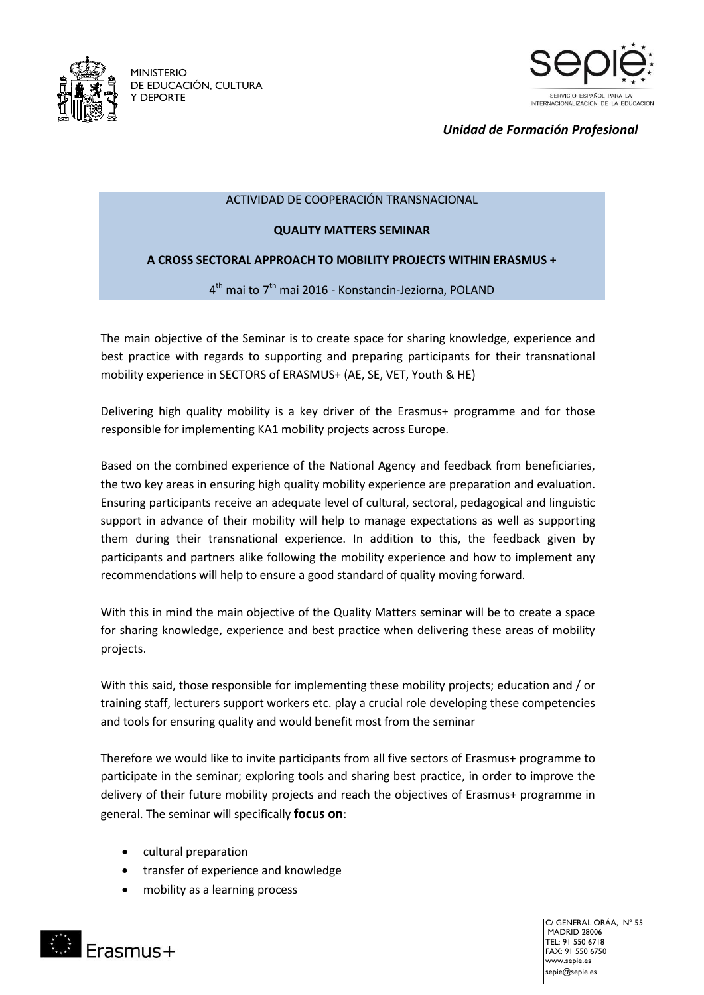

MINISTERIO DE EDUCACIÓN, CULTURA Y DEPORTE



*Unidad de Formación Profesional*

### ACTIVIDAD DE COOPERACIÓN TRANSNACIONAL

### **QUALITY MATTERS SEMINAR**

## **A CROSS SECTORAL APPROACH TO MOBILITY PROJECTS WITHIN ERASMUS +**

4<sup>th</sup> mai to 7<sup>th</sup> mai 2016 - Konstancin-Jeziorna, POLAND

The main objective of the Seminar is to create space for sharing knowledge, experience and best practice with regards to supporting and preparing participants for their transnational mobility experience in SECTORS of ERASMUS+ (AE, SE, VET, Youth & HE)

Delivering high quality mobility is a key driver of the Erasmus+ programme and for those responsible for implementing KA1 mobility projects across Europe.

Based on the combined experience of the National Agency and feedback from beneficiaries, the two key areas in ensuring high quality mobility experience are preparation and evaluation. Ensuring participants receive an adequate level of cultural, sectoral, pedagogical and linguistic support in advance of their mobility will help to manage expectations as well as supporting them during their transnational experience. In addition to this, the feedback given by participants and partners alike following the mobility experience and how to implement any recommendations will help to ensure a good standard of quality moving forward.

With this in mind the main objective of the Quality Matters seminar will be to create a space for sharing knowledge, experience and best practice when delivering these areas of mobility projects.

With this said, those responsible for implementing these mobility projects; education and / or training staff, lecturers support workers etc. play a crucial role developing these competencies and tools for ensuring quality and would benefit most from the seminar

Therefore we would like to invite participants from all five sectors of Erasmus+ programme to participate in the seminar; exploring tools and sharing best practice, in order to improve the delivery of their future mobility projects and reach the objectives of Erasmus+ programme in general. The seminar will specifically **focus on**:

- cultural preparation
- transfer of experience and knowledge
- mobility as a learning process



C/ GENERAL ORÁA, Nº 55 MADRID 28006 TEL: 91 550 6718 FAX: 91 550 6750 www.sepie.es sepie@sepie.es